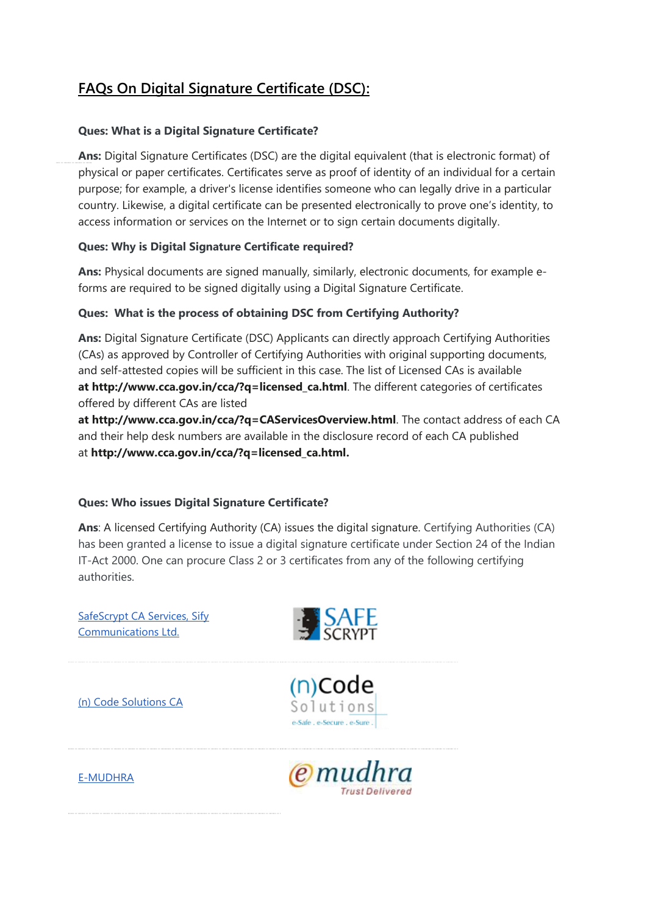# **FAQs On Digital Signature Certificate (DSC):**

### **Ques: What is a Digital Signature Certificate?**

**Ans:** Digital Signature Certificates (DSC) are the digital equivalent (that is electronic format) of physical or paper certificates. Certificates serve as proof of identity of an individual for a certain purpose; for example, a driver's license identifies someone who can legally drive in a particular country. Likewise, a digital certificate can be presented electronically to prove one's identity, to access information or services on the Internet or to sign certain documents digitally.

### **Ques: Why is Digital Signature Certificate required?**

**Ans:** Physical documents are signed manually, similarly, electronic documents, for example eforms are required to be signed digitally using a Digital Signature Certificate.

### **Ques: What is the process of obtaining DSC from Certifying Authority?**

**Ans:** Digital Signature Certificate (DSC) Applicants can directly approach Certifying Authorities (CAs) as approved by Controller of Certifying Authorities with original supporting documents, and self-attested copies will be sufficient in this case. The list of Licensed CAs is available **at [http://www.cca.gov.in/cca/?q=licensed\\_ca.html](http://www.cca.gov.in/cca/?q=licensed_ca.html)**. The different categories of certificates offered by different CAs are listed

**at <http://www.cca.gov.in/cca/?q=CAServicesOverview.html>**. The contact address of each CA and their help desk numbers are available in the disclosure record of each CA published at **[http://www.cca.gov.in/cca/?q=licensed\\_ca.html.](http://www.cca.gov.in/cca/?q=licensed_ca.html)**

### **Ques: Who issues Digital Signature Certificate?**

**Ans**: A licensed Certifying Authority (CA) issues the digital signature. Certifying Authorities (CA) has been granted a license to issue a digital signature certificate under Section 24 of the Indian IT-Act 2000. One can procure Class 2 or 3 certificates from any of the following certifying authorities.

[SafeScrypt CA Services, Sify](http://www.safescrypt.com/)  [Communications Ltd.](http://www.safescrypt.com/)

[\(n\) Code Solutions CA](http://www.ncodesolutions.com/)







[E-MUDHRA](http://www.e-mudhra.com/)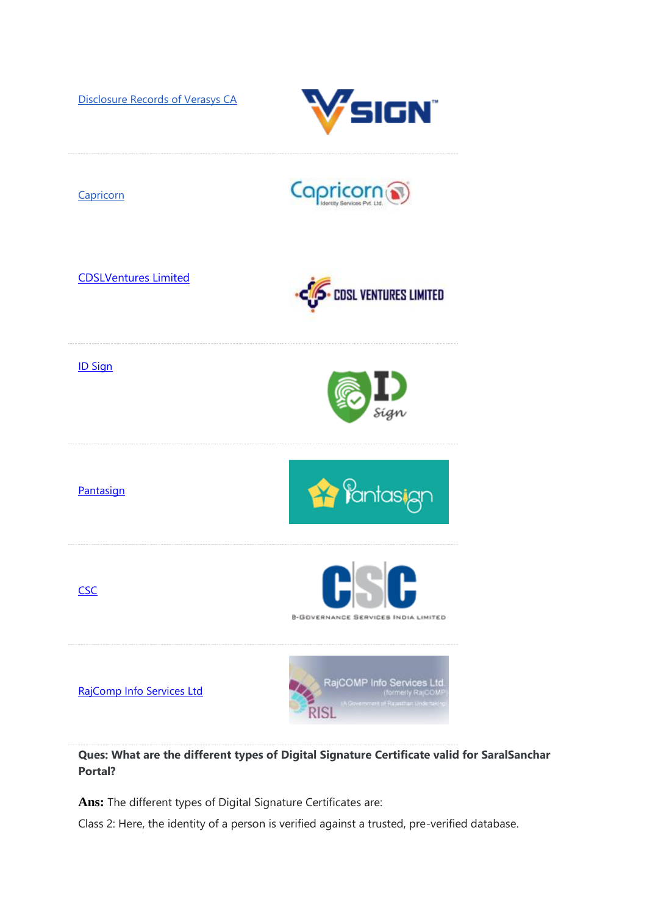[Disclosure Records of Verasys CA](http://www.cca.gov.in/cca/?q=VerasysCA.html)





**Ques: What are the different types of Digital Signature Certificate valid for SaralSanchar Portal?**

**Ans:** The different types of Digital Signature Certificates are:

Class 2: Here, the identity of a person is verified against a trusted, pre-verified database.